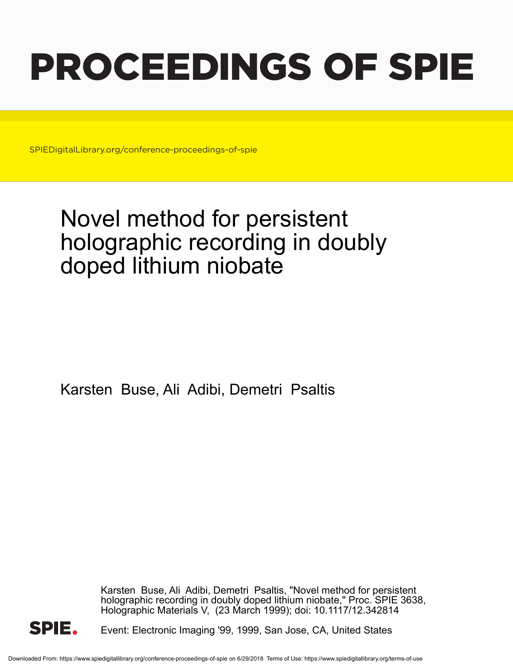# PROCEEDINGS OF SPIE

SPIEDigitalLibrary.org/conference-proceedings-of-spie

## Novel method for persistent holographic recording in doubly doped lithium niobate

Karsten Buse, Ali Adibi, Demetri Psaltis

Karsten Buse, Ali Adibi, Demetri Psaltis, "Novel method for persistent holographic recording in doubly doped lithium niobate," Proc. SPIE 3638, Holographic Materials V, (23 March 1999); doi: 10.1117/12.342814



Event: Electronic Imaging '99, 1999, San Jose, CA, United States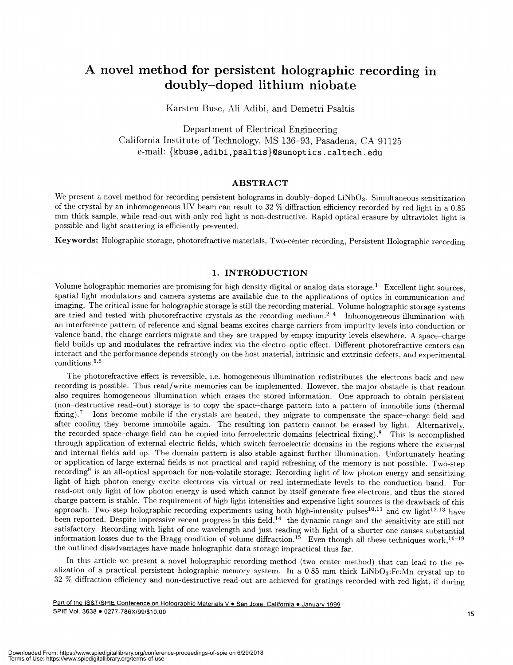### A novel method for persistent holographic recording in doubly—doped lithium niobate

Karsten Buse, Ali Adibi, and Demetri Psaltis

Department of Electrical Engineering California Institute of Technology, MS 136—93, Pasadena, CA 91125 e-mail: {kbuse,adibi,psaltis}@sunoptics. caltech.edu

#### ABSTRACT

We present a novel method for recording persistent holograms in doubly–doped LiNbO<sub>3</sub>. Simultaneous sensitization of the crystal by an inhomogeneous UV beam can result to 32 % diffraction efficiency recorded by red light in a 0.85 mm thick sample, while read-out with only red light is non-destructive. Rapid optical erasure by ultraviolet light is possible and light scattering is efficiently prevented.

Keywords: Holographic storage, photorefractive materials, Two-center recording, Persistent Holographic recording

#### 1. INTRoDUCTION

Volume holographic memories are promising for high density digital or analog data storage.' Excellent light sources, spatial light modulators and camera systems are available due to the applications of optics in communication and imaging. The critical issue for holographic storage is still the recording material. Volume holographic storage systems are tried and tested with photorefractive crystals as the recording medium.<sup>2-4</sup> Inhomogeneous illumination with an interference pattern of reference and signal beams excites charge carriers from impurity levels into conduction or valence band, the charge carriers migrate and they are trapped by empty impurity levels elsewhere. A space—charge field builds up and modulates the refractive index via the electro-optic effect. Different photorefractive centers can interact and the performance depends strongly on the host material, intrinsic and extrinsic defects, and experimental  $conditions.$ <sup>5.6</sup>

The photorefractive effect is reversible, i.e. homogeneous illumination redistributes the electrons back and new recording is possible. Thus read/write memories can be implemented. However, the major obstacle is that readout also requires homogeneous illumination which erases the stored information. One approach to obtain persistent (non-destructive read-out) storage is to copy the space-charge pattern into a pattern of immobile ions (thermal fixing).<sup>7</sup> Ions become mobile if the crystals are heated, they migrate to compensate the space-charge field Ions become mobile if the crystals are heated, they migrate to compensate the space-charge field and after cooling they become immobile again. The resulting ion pattern cannot be erased by light. Alternatively, the recorded space–charge field can be copied into ferroelectric domains (electrical fixing).<sup>8</sup> This is accomplished through application of external electric fields, which switch ferroelectric domains in the regions where the external and internal fields add up. The domain pattern is also stable against further illumination. Unfortunately heating or application of large external fields is not practical and rapid refreshing of the memory is not possible. Two-step recording<sup>9</sup> is an all-optical approach for non-volatile storage: Recording light of low photon energy and sensitizing light of high photon energy excite electrons via virtual or real intermediate levels to the conduction band. For read-out only light of low photon energy is used which cannot by itself generate free electrons, and thus the stored charge pattern is stable. The requirement of high light intensities and expensive light sources is the drawback of this approach. Two–step holographic recording experiments using both high-intensity pulses<sup>10,11</sup> and cw light<sup>12,13</sup> have been reported. Despite impressive recent progress in this field,<sup>14</sup> the dynamic range and the sensitivity are still not satisfactory. Recording with light of one wavelength and just reading with light of a shorter one causes substantial information losses due to the Bragg condition of volume diffraction.<sup>15</sup> Even though all these techniques work,<sup>16-19</sup> the outlined disadvantages have made holographic data storage impractical thus far.

In this article we present a novel holographic recording method (two-center method) that can lead to the realization of a practical persistent holographic memory system. In a 0.85 mm thick  $LiNbO<sub>3</sub>:Fe:Mn$  crystal up to 32 % diffraction efficiency and non-destructive read-out are achieved for gratings recorded with red light, if during

Part of the IS&T/SPIE Conference on Holographic Materials V . San Jose, California . January 1999 SPIE Vol. 3638 • 0277-786X/99/\$lO.OO <sup>15</sup>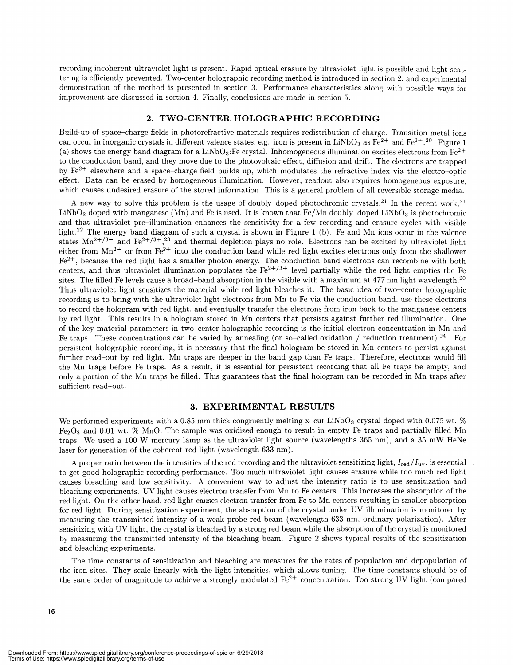recording incoherent ultraviolet light is present. Rapid optical erasure by ultraviolet light is possible and light scattering is efficiently prevented. Two-center holographic recording method is introduced in section 2, and experimental demonstration of the method is presented in section 3. Performance characteristics along with possible ways for improvement are discussed in section 4. Finally, conclusions are made in section 5.

#### 2. TWO-CENTER HOLOGRAPHIC RECORDING

Build-up of space—charge fields in photorefractive materials requires redistribution of charge. Transition metal ions can occur in inorganic crystals in different valence states, e.g. iron is present in LiNbO<sub>3</sub> as Fe<sup>2+</sup> and Fe<sup>3+</sup>.<sup>20</sup> Figure 1 (a) shows the energy band diagram for a LiNbO<sub>3</sub>:Fe crystal. Inhomogeneous illumination excites electrons from  $Fe^{2+}$ to the conduction band, and they move due to the photovoltaic effect, diffusion and drift. The electrons are trapped by  $Fe^{3+}$  elsewhere and a space-charge field builds up, which modulates the refractive index via the electro-optic effect. Data can be erased by homogeneous illumination. However, readout also requires homogeneous exposure, which causes undesired erasure of the stored information. This is a general problem of all reversible storage media.

A new way to solve this problem is the usage of doubly-doped photochromic crystals.<sup>21</sup> In the recent work,<sup>21</sup> LiNbO<sub>3</sub> doped with manganese (Mn) and Fe is used. It is known that Fe/Mn doubly–doped LiNbO<sub>3</sub> is photochromic and that ultraviolet pre—illumination enhances the sensitivity for a few recording and erasure cycles with visible light.<sup>22</sup> The energy band diagram of such a crystal is shown in Figure 1 (b). Fe and Mn ions occur in the valence states  $Mn^{2+/3+}$  and  $Fe^{2+/3+}$ ,<sup>23</sup> and thermal depletion plays no role. Electrons can be excited by ultraviolet light either from  $Mn^{2+}$  or from Fe<sup>2+</sup> into the conduction band while red light excites electrons only from the shallower  $Fe<sup>2+</sup>$ , because the red light has a smaller photon energy. The conduction band electrons can recombine with both centers, and thus ultraviolet illumination populates the  $Fe^{2+/3+}$  level partially while the red light empties the Fe sites. The filled Fe levels cause a broad-band absorption in the visible with a maximum at 477 nm light wavelength.<sup>20</sup> Thus ultraviolet light sensitizes the material while red light bleaches it. The basic idea of two—center holographic recording is to bring with the ultraviolet light electrons from Mn to Fe via the conduction band, use these electrons to record the hologram with red light, and eventually transfer the electrons from iron back to the manganese centers by red light. This results in a hologram stored in Mn centers that persists against further red illumination. One of the key material parameters in two—center holographic recording is the initial electron concentration in Mn and Fe traps. These concentrations can be varied by annealing (or so–called oxidation / reduction treatment).<sup>24</sup> For persistent holographic recording, it is necessary that the final hologram be stored in Mn centers to persist against further read-out by red light. Mn traps are deeper in the band gap than Fe traps. Therefore, electrons would fill the Mn traps before Fe traps. As a result, it is essential for persistent recording that all Fe traps be empty, and only a portion of the Mn traps be filled. This guarantees that the final hologram can be recorded in Mn traps after sufficient read—out.

#### 3. EXPERIMENTAL RESULTS

We performed experiments with a 0.85 mm thick congruently melting x-cut LiNbO<sub>3</sub> crystal doped with 0.075 wt. % Fe<sub>2</sub>O<sub>3</sub> and 0.01 wt. % MnO. The sample was oxidized enough to result in empty Fe traps and partially filled Mn traps. We used a 100 W mercury lamp as the ultraviolet light source (wavelengths 365 nm), and a 35 mW HeNe laser for generation of the coherent red light (wavelength 633 nm).

A proper ratio between the intensities of the red recording and the ultraviolet sensitizing light,  $I_{\rm red}/I_{\rm uv}$ , is essential to get good holographic recording performance. Too much ultraviolet light causes erasure while too much red light causes bleaching and low sensitivity. A convenient way to adjust the intensity ratio is to use sensitization and bleaching experiments. UV light causes electron transfer from Mn to Fe centers. This increases the absorption of the red light. On the other hand, red light causes electron transfer from Fe to Mn centers resulting in smaller absorption for red light. During sensitization experiment, the absorption of the crystal under UV illumination is monitored by measuring the transmitted intensity of a weak probe red beam (wavelength 633 nm, ordinary polarization) . After sensitizing with UV light, the crystal is bleached by a strong red beam while the absorption of the crystal is monitored by measuring the transmitted intensity of the bleaching beam. Figure 2 shows typical results of the sensitization and bleaching experiments.

The time constants of sensitization and bleaching are measures for the rates of population and depopulation of the iron sites. They scale linearly with the light intensities, which allows tuning. The time constants should be of the same order of magnitude to achieve a strongly modulated  $Fe^{2+}$  concentration. Too strong UV light (compared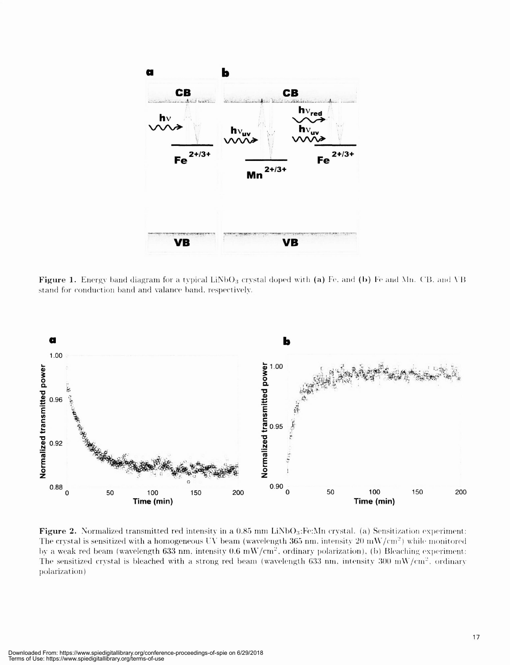

Figure 1. Energy band diagram for a typical LiNbO<sub>3</sub> crystal doped with (a) Fe, and (b) Fe and Mn. CB, and VB stand for conduction band and valance band, respectively.



Figure 2. Normalized transmitted red intensity in a  $0.85$  mm LiNbO<sub>3</sub>:Fe:Mn crystal. (a) Sensitization experiment: The crystal is sensitized with a homogeneous UV beam (wavelength 365 nm, intensity  $20 \text{ mW/cm}^2$ ) while monitored by a weak red beam (wavelength 633 nm, intensity  $0.6$  mW/cm<sup>2</sup>, ordinary polarization), (b) Bleaching experiment: The sensitized crystal is bleached with a strong red beam (wavelength 633 nm, intensity 300 mW/cm<sup>2</sup>, ordinary polarization)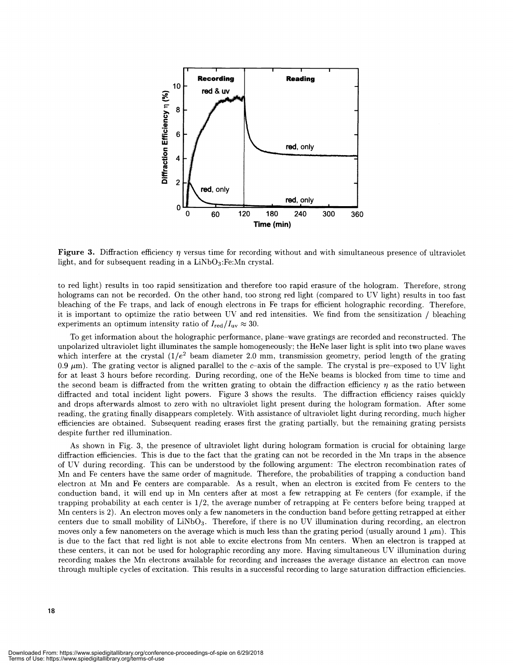

**Figure 3.** Diffraction efficiency  $\eta$  versus time for recording without and with simultaneous presence of ultraviolet light, and for subsequent reading in a  $LiNbO<sub>3</sub>:Fe:Mn$  crystal.

to red light) results in too rapid sensitization and therefore too rapid erasure of the hologram. Therefore, strong holograms can not be recorded. On the other hand, too strong red light (compared to UV light) results in too fast bleaching of the Fe traps, and lack of enough electrons in Fe traps for efficient holographic recording. Therefore, it is important to optimize the ratio between UV and red intensities. We find from the sensitization / bleaching experiments an optimum intensity ratio of  $I_{\text{red}}/I_{\text{uv}} \approx 30$ .

To get information about the holographic performance, plane—wave gratings are recorded and reconstructed. The unpolarized ultraviolet light illuminates the sample homogeneously; the HeNe laser light is split into two plane waves which interfere at the crystal  $(1/e^2)$  beam diameter 2.0 mm, transmission geometry, period length of the grating 0.9  $\mu$ m). The grating vector is aligned parallel to the c—axis of the sample. The crystal is pre—exposed to UV light for at least 3 hours before recording. During recording, one of the HeNe beams is blocked from time to time and the second beam is diffracted from the written grating to obtain the diffraction efficiency  $\eta$  as the ratio between diffracted and total incident light powers. Figure 3 shows the results. The diffraction efficiency raises quickly and drops afterwards almost to zero with no ultraviolet light present during the hologram formation. After some reading, the grating finally disappears completely. With assistance of ultraviolet light during recording, much higher efficiencies are obtained. Subsequent reading erases first the grating partially, but the remaining grating persists despite further red illumination.

As shown in Fig. 3, the presence of ultraviolet light during hologram formation is crucial for obtaining large diffraction efficiencies. This is due to the fact that the grating can not be recorded in the Mn traps in the absence of UV during recording. This can be understood by the following argument: The electron recombination rates of Mn and Fe centers have the same order of magnitude. Therefore, the probabilities of trapping a conduction band electron at Mn and Fe centers are comparable. As a result, when an electron is excited from Fe centers to the conduction band, it will end up in Mn centers after at most a few retrapping at Fe centers (for example, if the trapping probability at each center is 1/2, the average number of retrapping at Fe centers before being trapped at Mn centers is 2) . An electron moves only a few nanometers in the conduction band before getting retrapped at either centers due to small mobility of  $\text{LiNbO}_3$ . Therefore, if there is no UV illumination during recording, an electron moves only a few nanometers on the average which is much less than the grating period (usually around  $1 \mu m$ ). This is due to the fact that red light is not able to excite electrons from Mn centers. When an electron is trapped at these centers, it can not be used for holographic recording any more. Having simultaneous UV illumination during recording makes the Mn electrons available for recording and increases the average distance an electron can move through multiple cycles of excitation. This results in a successful recording to large saturation diffraction efficiencies.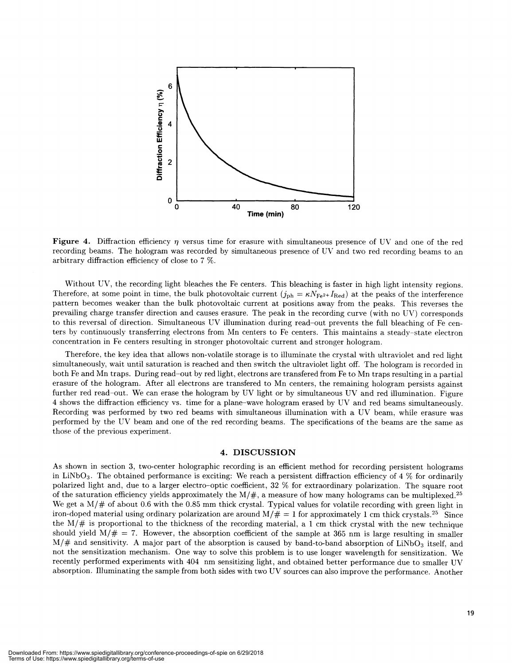

Figure 4. Diffraction efficiency  $\eta$  versus time for erasure with simultaneous presence of UV and one of the red recording beams. The hologram was recorded by simultaneous presence of UV and two red recording beams to an arbitrary diffraction efficiency of close to 7 %.

Without UV, the recording light bleaches the Fe centers. This bleaching is faster in high light intensity regions. Therefore, at some point in time, the bulk photovoltaic current  $(j_{ph} = \kappa N_{Fe^{2+}}I_{Red})$  at the peaks of the interference pattern becomes weaker than the bulk photovoltaic current at positions away from the peaks. This reverses the prevailing charge transfer direction and causes erasure. The peak in the recording curve (with no UV) corresponds to this reversal of direction. Simultaneous UV illumination during read—out prevents the full bleaching of Fe centers by continuously transferring electrons from Mn centers to Fe centers. This maintains a steady—state electron concentration in Fe centers resulting in stronger photovoltaic current and stronger hologram.

Therefore, the key idea that allows non-volatile storage is to illuminate the crystal with ultraviolet and red light simultaneously, wait until saturation is reached and then switch the ultraviolet light off. The hologram is recorded in both Fe and Mn traps. During read—out by red light, electrons are transfered from Fe to Mn traps resulting in a partial erasure of the hologram. After all electrons are transfered to Mn centers, the remaining hologram persists against further red read—out. We can erase the hologram by UV light or by simultaneous UV and red illumination. Figure 4 shows the diffraction efficiency vs. time for a plane—wave hologram erased by UV and red beams simultaneously. Recording was performed by two red beams with simultaneous illumination with a UV beam, while erasure was performed by the UV beam and one of the red recording beams. The specifications of the beams are the same as those of the previous experiment.

#### 4. DISCUSSION

As shown in section 3, two-center holographic recording is an efficient method for recording persistent holograms in LiNbO<sub>3</sub>. The obtained performance is exciting: We reach a persistent diffraction efficiency of  $4\%$  for ordinarily polarized light and, due to a larger electro—optic coefficient, 32 % for extraordinary polarization. The square root of the saturation efficiency yields approximately the  $M/\#$ , a measure of how many holograms can be multiplexed.<sup>25</sup> We get a  $M/\#$  of about 0.6 with the 0.85 mm thick crystal. Typical values for volatile recording with green light in iron-doped material using ordinary polarization are around  $M/\# = 1$  for approximately 1 cm thick crystals.<sup>25</sup> Since the  $M/\#$  is proportional to the thickness of the recording material, a 1 cm thick crystal with the new technique should yield M/ $# = 7$ . However, the absorption coefficient of the sample at 365 nm is large resulting in smaller  $M/\#$  and sensitivity. A major part of the absorption is caused by band-to-band absorption of LiNbO<sub>3</sub> itself, and not the sensitization mechanism. One way to solve this problem is to use longer wavelength for sensitization. We recently performed experiments with 404 nm sensitizing light, and obtained better performance due to smaller UV absorption. Illuminating the sample from both sides with two UV sources can also improve the performance. Another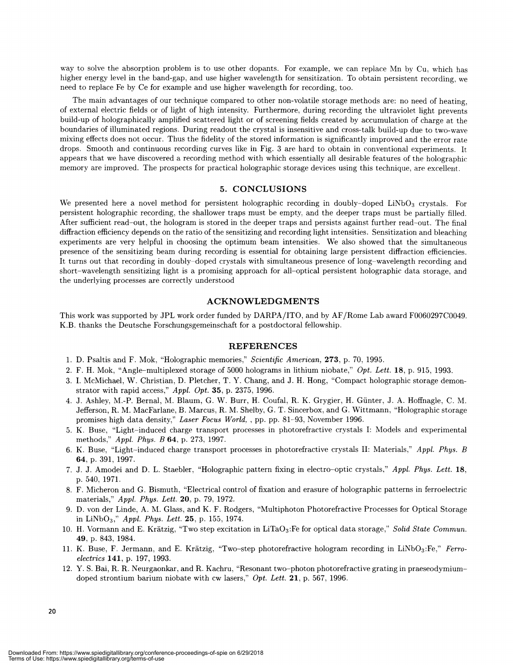way to solve the absorption problem is to use other dopants. For example, we can replace Mn by Cu, which has higher energy level in the band-gap, and use higher wavelength for sensitization. To obtain persistent recording, we need to replace Fe by Ce for example and use higher wavelength for recording, too.

The main advantages of our technique compared to other non-volatile storage methods are: no need of heating, of external electric fields or of light of high intensity. Furthermore, during recording the ultraviolet light prevents build-up of holographically amplified scattered light or of screening fields created by accumulation of charge at the boundaries of illuminated regions. During readout the crystal is insensitive and cross-talk build-up due to two-wave mixing effects does not occur. Thus the fidelity of the stored information is significantly improved and the error rate drops. Smooth and continuous recording curves like in Fig. 3 are hard to obtain in conventional experiments. It appears that we have discovered a recording method with which essentially all desirable features of the holographic memory are improved. The prospects for practical holographic storage devices using this technique, are excellent.

#### 5. CONCLUSIONS

We presented here a novel method for persistent holographic recording in doubly-doped LiNbO<sub>3</sub> crystals. For persistent holographic recording, the shallower traps must be empty, and the deeper traps must be partially filled. After sufficient read—out, the hologram is stored in the deeper traps and persists against further read—out. The final diffraction efficiency depends on the ratio of the sensitizing and recording light intensities. Sensitization and bleaching experiments are very helpful in choosing the optimum beam intensities. We also showed that the simultaneous presence of the sensitizing beam during recording is essential for obtaining large persistent diffraction efficiencies. It turns out that recording in doubly—doped crystals with simultaneous presence of long—wavelength recording and short—wavelength sensitizing light is a promising approach for all—optical persistent holographic data storage, and the underlying processes are correctly understood

#### ACKNOWLEDGMENTS

This work was supported by JPL work order funded by DARPA/ITO, and by AF/Rome Lab award F0060297C0049. K.B. thanks the Deutsche Forschungsgemeinschaft for a postdoctoral fellowship.

#### REFERENCES

- 1. D. Psaltis and F. Mok, "Holographic memories," Scientific American, 273, p. 70, 1995.
- 2. F. H. Mok, "Angle—multiplexed storage of 5000 holograms in lithium niobate," Opt. Lett. 18, p. 915, 1993.
- 3. I. McMichael, W. Christian, D. Pletcher, T. Y. Chang, and J. H. Hong, "Compact holographic storage demonstrator with rapid access," Appi. Opt. 35, p. 2375, 1996.
- 4. J. Ashley, M.-P. Bernal, M. Blaum, G. W. Burr, H. Coufal, R. K. Grygier, H. Günter, J. A. Hoffnagle, C. M. Jefferson, R. M. MacFarlane, B. Marcus, R. M. Shelby, G. T. Sincerbox, and G. Wittmann, "Holographic storage promises high data density," Laser Focus World, , pp. pp. 81—93, November 1996.
- 5. K. Buse, "Light—induced charge transport processes in photorefractive crystals I: Models and experimental methods," Appl. Phys. B 64, p. 273, 1997.
- 6. K. Buse, "Light—induced charge transport processes in photorefractive crystals II: Materials," Appl. Phys. B 64, p. 391, 1997.
- 7. J. J. Amodei and D. L. Staebler, "Holographic pattern fixing in electro—optic crystals," Appi. Phys. Lett. 18, p. 540, 1971.
- 8. F. Micheron and G. Bismuth, "Electrical control of fixation and erasure of holographic patterns in ferroelectric materials," Appi. Phys. Lett. 20, p. 79, 1972.
- 9. D. von der Linde, A. M. Glass, and K. F. Rodgers, "Multiphoton Photorefractive Processes for Optical Storage in LiNbO<sub>3</sub>," *Appl. Phys. Lett.* **25**, p. 155, 1974.
- 10. H. Vormann and E. Krätzig, "Two step excitation in LiTaO3:Fe for optical data storage," Solid State Commun. 49, p. 843, 1984.
- 11. K. Buse, F. Jermann, and E. Krätzig, "Two-step photorefractive hologram recording in LiNbO3:Fe," Ferroelectrics 141, p. 197, 1993.
- 12. Y. S. Bai, R. R. Neurgaonkar, and R. Kachru, "Resonant two—photon photorefractive grating in praeseodymium doped strontium barium niobate with cw lasers," Opt. Lett. 21, p. 567, 1996.